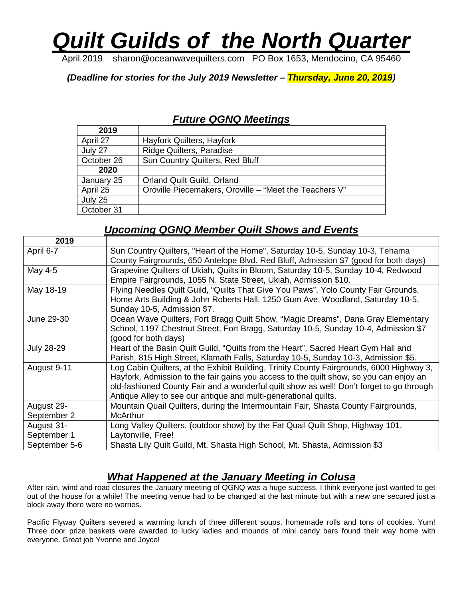# *Quilt Guilds of the North Quarter*

April 2019 sharon@oceanwavequilters.com PO Box 1653, Mendocino, CA 95460

*(Deadline for stories for the July 2019 Newsletter – Thursday, June 20, 2019)*

#### *Future QGNQ Meetings*

| 2019       |                                                        |
|------------|--------------------------------------------------------|
| April 27   | Hayfork Quilters, Hayfork                              |
| July 27    | <b>Ridge Quilters, Paradise</b>                        |
| October 26 | Sun Country Quilters, Red Bluff                        |
| 2020       |                                                        |
| January 25 | <b>Orland Quilt Guild, Orland</b>                      |
| April 25   | Oroville Piecemakers, Oroville – "Meet the Teachers V" |
| July 25    |                                                        |
| October 31 |                                                        |

#### *Upcoming QGNQ Member Quilt Shows and Events*

| 2019              |                                                                                          |
|-------------------|------------------------------------------------------------------------------------------|
| April 6-7         | Sun Country Quilters, "Heart of the Home", Saturday 10-5, Sunday 10-3, Tehama            |
|                   | County Fairgrounds, 650 Antelope Blvd. Red Bluff, Admission \$7 (good for both days)     |
| May 4-5           | Grapevine Quilters of Ukiah, Quilts in Bloom, Saturday 10-5, Sunday 10-4, Redwood        |
|                   | Empire Fairgrounds, 1055 N. State Street, Ukiah, Admission \$10.                         |
| May 18-19         | Flying Needles Quilt Guild, "Quilts That Give You Paws", Yolo County Fair Grounds,       |
|                   | Home Arts Building & John Roberts Hall, 1250 Gum Ave, Woodland, Saturday 10-5,           |
|                   | Sunday 10-5, Admission \$7.                                                              |
| June 29-30        | Ocean Wave Quilters, Fort Bragg Quilt Show, "Magic Dreams", Dana Gray Elementary         |
|                   | School, 1197 Chestnut Street, Fort Bragg, Saturday 10-5, Sunday 10-4, Admission \$7      |
|                   | (good for both days)                                                                     |
| <b>July 28-29</b> | Heart of the Basin Quilt Guild, "Quilts from the Heart", Sacred Heart Gym Hall and       |
|                   | Parish, 815 High Street, Klamath Falls, Saturday 10-5, Sunday 10-3, Admission \$5.       |
| August 9-11       | Log Cabin Quilters, at the Exhibit Building, Trinity County Fairgrounds, 6000 Highway 3, |
|                   | Hayfork, Admission to the fair gains you access to the quilt show, so you can enjoy an   |
|                   | old-fashioned County Fair and a wonderful quilt show as well! Don't forget to go through |
|                   | Antique Alley to see our antique and multi-generational quilts.                          |
| August 29-        | Mountain Quail Quilters, during the Intermountain Fair, Shasta County Fairgrounds,       |
| September 2       | <b>McArthur</b>                                                                          |
| August 31-        | Long Valley Quilters, (outdoor show) by the Fat Quail Quilt Shop, Highway 101,           |
| September 1       | Laytonville, Free!                                                                       |
| September 5-6     | Shasta Lily Quilt Guild, Mt. Shasta High School, Mt. Shasta, Admission \$3               |

#### *What Happened at the January Meeting in Colusa*

After rain, wind and road closures the January meeting of QGNQ was a huge success. I think everyone just wanted to get out of the house for a while! The meeting venue had to be changed at the last minute but with a new one secured just a block away there were no worries.

Pacific Flyway Quilters severed a warming lunch of three different soups, homemade rolls and tons of cookies. Yum! Three door prize baskets were awarded to lucky ladies and mounds of mini candy bars found their way home with everyone. Great job Yvonne and Joyce!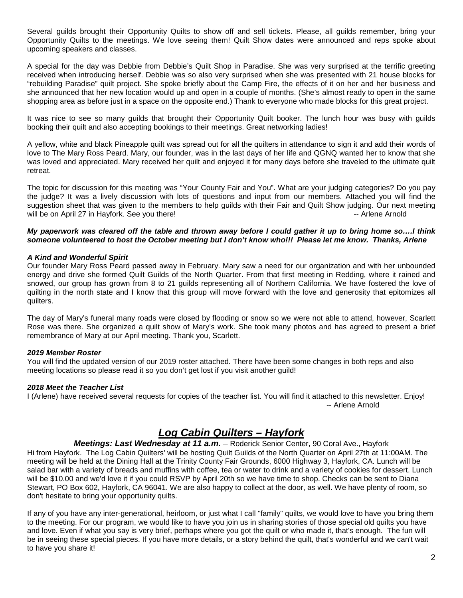Several guilds brought their Opportunity Quilts to show off and sell tickets. Please, all guilds remember, bring your Opportunity Quilts to the meetings. We love seeing them! Quilt Show dates were announced and reps spoke about upcoming speakers and classes.

A special for the day was Debbie from Debbie's Quilt Shop in Paradise. She was very surprised at the terrific greeting received when introducing herself. Debbie was so also very surprised when she was presented with 21 house blocks for "rebuilding Paradise" quilt project. She spoke briefly about the Camp Fire, the effects of it on her and her business and she announced that her new location would up and open in a couple of months. (She's almost ready to open in the same shopping area as before just in a space on the opposite end.) Thank to everyone who made blocks for this great project.

It was nice to see so many guilds that brought their Opportunity Quilt booker. The lunch hour was busy with guilds booking their quilt and also accepting bookings to their meetings. Great networking ladies!

A yellow, white and black Pineapple quilt was spread out for all the quilters in attendance to sign it and add their words of love to The Mary Ross Peard. Mary, our founder, was in the last days of her life and QGNQ wanted her to know that she was loved and appreciated. Mary received her quilt and enjoyed it for many days before she traveled to the ultimate quilt retreat.

The topic for discussion for this meeting was "Your County Fair and You". What are your judging categories? Do you pay the judge? It was a lively discussion with lots of questions and input from our members. Attached you will find the suggestion sheet that was given to the members to help guilds with their Fair and Quilt Show judging. Our next meeting will be on April 27 in Hayfork. See you there!  $\blacksquare$ 

#### *My paperwork was cleared off the table and thrown away before I could gather it up to bring home so….I think someone volunteered to host the October meeting but I don't know who!!! Please let me know. Thanks, Arlene*

#### *A Kind and Wonderful Spirit*

Our founder Mary Ross Peard passed away in February. Mary saw a need for our organization and with her unbounded energy and drive she formed Quilt Guilds of the North Quarter. From that first meeting in Redding, where it rained and snowed, our group has grown from 8 to 21 guilds representing all of Northern California. We have fostered the love of quilting in the north state and I know that this group will move forward with the love and generosity that epitomizes all quilters.

The day of Mary's funeral many roads were closed by flooding or snow so we were not able to attend, however, Scarlett Rose was there. She organized a quilt show of Mary's work. She took many photos and has agreed to present a brief remembrance of Mary at our April meeting. Thank you, Scarlett.

#### *2019 Member Roster*

You will find the updated version of our 2019 roster attached. There have been some changes in both reps and also meeting locations so please read it so you don't get lost if you visit another guild!

#### *2018 Meet the Teacher List*

I (Arlene) have received several requests for copies of the teacher list. You will find it attached to this newsletter. Enjoy! -- Arlene Arnold

#### *Log Cabin Quilters – Hayfork*

*Meetings: Last Wednesday at 11 a.m.* – Roderick Senior Center, 90 Coral Ave., Hayfork

Hi from Hayfork. The Log Cabin Quilters' will be hosting Quilt Guilds of the North Quarter on April 27th at 11:00AM. The meeting will be held at the Dining Hall at the Trinity County Fair Grounds, 6000 Highway 3, Hayfork, CA. Lunch will be salad bar with a variety of breads and muffins with coffee, tea or water to drink and a variety of cookies for dessert. Lunch will be \$10.00 and we'd love it if you could RSVP by April 20th so we have time to shop. Checks can be sent to Diana Stewart, PO Box 602, Hayfork, CA 96041. We are also happy to collect at the door, as well. We have plenty of room, so don't hesitate to bring your opportunity quilts.

If any of you have any inter-generational, heirloom, or just what I call "family" quilts, we would love to have you bring them to the meeting. For our program, we would like to have you join us in sharing stories of those special old quilts you have and love. Even if what you say is very brief, perhaps where you got the quilt or who made it, that's enough. The fun will be in seeing these special pieces. If you have more details, or a story behind the quilt, that's wonderful and we can't wait to have you share it!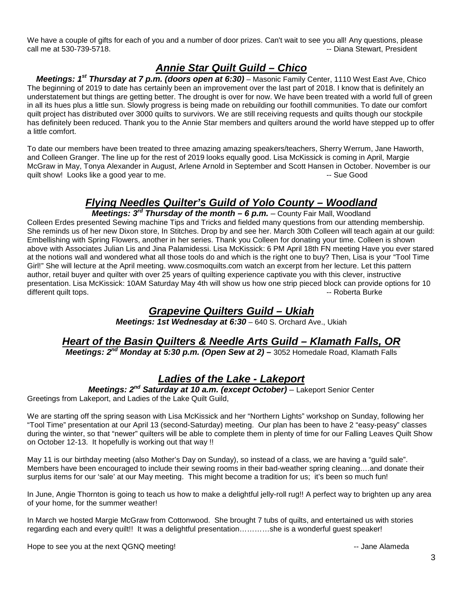We have a couple of gifts for each of you and a number of door prizes. Can't wait to see you all! Any questions, please call me at 530-739-5718.  $\blacksquare$ 

#### *Annie Star Quilt Guild – Chico*

*Meetings: 1st Thursday at 7 p.m. (doors open at 6:30)* – Masonic Family Center, 1110 West East Ave, Chico The beginning of 2019 to date has certainly been an improvement over the last part of 2018. I know that is definitely an understatement but things are getting better. The drought is over for now. We have been treated with a world full of green in all its hues plus a little sun. Slowly progress is being made on rebuilding our foothill communities. To date our comfort quilt project has distributed over 3000 quilts to survivors. We are still receiving requests and quilts though our stockpile has definitely been reduced. Thank you to the Annie Star members and quilters around the world have stepped up to offer a little comfort.

To date our members have been treated to three amazing amazing speakers/teachers, Sherry Werrum, Jane Haworth, and Colleen Granger. The line up for the rest of 2019 looks equally good. Lisa McKissick is coming in April, Margie McGraw in May, Tonya Alexander in August, Arlene Arnold in September and Scott Hansen in October. November is our<br>quilt show! Looks like a good vear to me. quilt show! Looks like a good year to me.

# *Flying Needles Quilter's Guild of Yolo County – Woodland*

*Meetings: 3rd Thursday of the month – 6 p.m. –* County Fair Mall, Woodland Colleen Erdes presented Sewing machine Tips and Tricks and fielded many questions from our attending membership. She reminds us of her new Dixon store, In Stitches. Drop by and see her. March 30th Colleen will teach again at our guild: Embellishing with Spring Flowers, another in her series. Thank you Colleen for donating your time. Colleen is shown above with Associates Julian Lis and Jina Palamidessi. Lisa McKissick: 6 PM April 18th FN meeting Have you ever stared at the notions wall and wondered what all those tools do and which is the right one to buy? Then, Lisa is your "Tool Time Girl!" She will lecture at the April meeting. www.cosmoquilts.com watch an excerpt from her lecture. Let this pattern author, retail buyer and quilter with over 25 years of quilting experience captivate you with this clever, instructive presentation. Lisa McKissick: 10AM Saturday May 4th will show us how one strip pieced block can provide options for 10<br>different quilt tops.<br> different quilt tops.

#### *Grapevine Quilters Guild – Ukiah*

*Meetings: 1st Wednesday at 6:30 - 640 S. Orchard Ave., Ukiah* 

## *Heart of the Basin Quilters & Needle Arts Guild – Klamath Falls, OR*

*Meetings: 2nd Monday at 5:30 p.m. (Open Sew at 2)* **–** 3052 Homedale Road, Klamath Falls

#### *Ladies of the Lake - Lakeport*

*Meetings: 2nd Saturday at 10 a.m. (except October)* – Lakeport Senior Center Greetings from Lakeport, and Ladies of the Lake Quilt Guild,

We are starting off the spring season with Lisa McKissick and her "Northern Lights" workshop on Sunday, following her "Tool Time" presentation at our April 13 (second-Saturday) meeting. Our plan has been to have 2 "easy-peasy" classes during the winter, so that "newer" quilters will be able to complete them in plenty of time for our Falling Leaves Quilt Show on October 12-13. It hopefully is working out that way !!

May 11 is our birthday meeting (also Mother's Day on Sunday), so instead of a class, we are having a "guild sale". Members have been encouraged to include their sewing rooms in their bad-weather spring cleaning….and donate their surplus items for our 'sale' at our May meeting. This might become a tradition for us; it's been so much fun!

In June, Angie Thornton is going to teach us how to make a delightful jelly-roll rug!! A perfect way to brighten up any area of your home, for the summer weather!

In March we hosted Margie McGraw from Cottonwood. She brought 7 tubs of quilts, and entertained us with stories regarding each and every quilt!! It was a delightful presentation…………she is a wonderful guest speaker!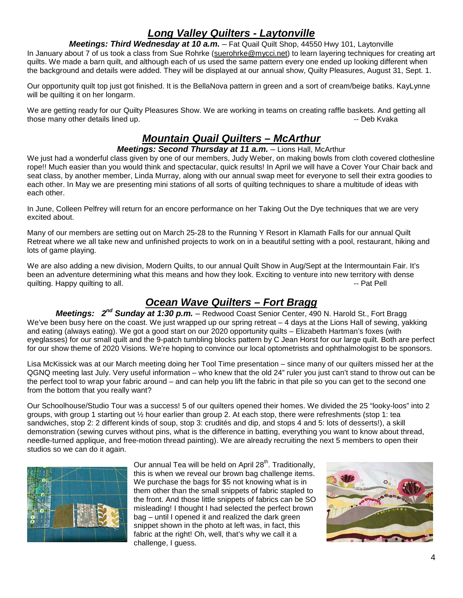## *Long Valley Quilters - Laytonville*

*Meetings: Third Wednesday at 10 a.m.* – Fat Quail Quilt Shop, 44550 Hwy 101, Laytonville

In January about 7 of us took a class from Sue Rohrke [\(suerohrke@mycci.net\)](mailto:suerohrke@mycci.net) to learn layering techniques for creating art quilts. We made a barn quilt, and although each of us used the same pattern every one ended up looking different when the background and details were added. They will be displayed at our annual show, Quilty Pleasures, August 31, Sept. 1.

Our opportunity quilt top just got finished. It is the BellaNova pattern in green and a sort of cream/beige batiks. KayLynne will be quilting it on her longarm.

We are getting ready for our Quilty Pleasures Show. We are working in teams on creating raffle baskets. And getting all those many other details lined up. The contract of the contract of the contract of the contract of the contract of the Contract of the Contract of the Contract of the Contract of the Contract of the Contract of the Contrac

#### *Mountain Quail Quilters – McArthur*

#### *Meetings: Second Thursday at 11 a.m.* – Lions Hall, McArthur

We just had a wonderful class given by one of our members, Judy Weber, on making bowls from cloth covered clothesline rope!! Much easier than you would think and spectacular, quick results! In April we will have a Cover Your Chair back and seat class, by another member, Linda Murray, along with our annual swap meet for everyone to sell their extra goodies to each other. In May we are presenting mini stations of all sorts of quilting techniques to share a multitude of ideas with each other.

In June, Colleen Pelfrey will return for an encore performance on her Taking Out the Dye techniques that we are very excited about.

Many of our members are setting out on March 25-28 to the Running Y Resort in Klamath Falls for our annual Quilt Retreat where we all take new and unfinished projects to work on in a beautiful setting with a pool, restaurant, hiking and lots of game playing.

We are also adding a new division, Modern Quilts, to our annual Quilt Show in Aug/Sept at the Intermountain Fair. It's been an adventure determining what this means and how they look. Exciting to venture into new territory with dense quilting. Happy quilting to all.  $\blacksquare$ 

#### *Ocean Wave Quilters – Fort Bragg*

*Meetings: 2nd Sunday at 1:30 p.m.* – Redwood Coast Senior Center, 490 N. Harold St., Fort Bragg We've been busy here on the coast. We just wrapped up our spring retreat – 4 days at the Lions Hall of sewing, yakking and eating (always eating). We got a good start on our 2020 opportunity quilts – Elizabeth Hartman's foxes (with eyeglasses) for our small quilt and the 9-patch tumbling blocks pattern by C Jean Horst for our large quilt. Both are perfect for our show theme of 2020 Visions. We're hoping to convince our local optometrists and ophthalmologist to be sponsors.

Lisa McKissick was at our March meeting doing her Tool Time presentation – since many of our quilters missed her at the QGNQ meeting last July. Very useful information – who knew that the old 24" ruler you just can't stand to throw out can be the perfect tool to wrap your fabric around – and can help you lift the fabric in that pile so you can get to the second one from the bottom that you really want?

Our Schoolhouse/Studio Tour was a success! 5 of our quilters opened their homes. We divided the 25 "looky-loos" into 2 groups, with group 1 starting out ½ hour earlier than group 2. At each stop, there were refreshments (stop 1: tea sandwiches, stop 2: 2 different kinds of soup, stop 3: crudités and dip, and stops 4 and 5: lots of desserts!), a skill demonstration (sewing curves without pins, what is the difference in batting, everything you want to know about thread, needle-turned applique, and free-motion thread painting). We are already recruiting the next 5 members to open their studios so we can do it again.



Our annual Tea will be held on April 28<sup>th</sup>. Traditionally, this is when we reveal our brown bag challenge items. We purchase the bags for \$5 not knowing what is in them other than the small snippets of fabric stapled to the front. And those little snippets of fabrics can be SO misleading! I thought I had selected the perfect brown bag – until I opened it and realized the dark green snippet shown in the photo at left was, in fact, this fabric at the right! Oh, well, that's why we call it a challenge, I guess.

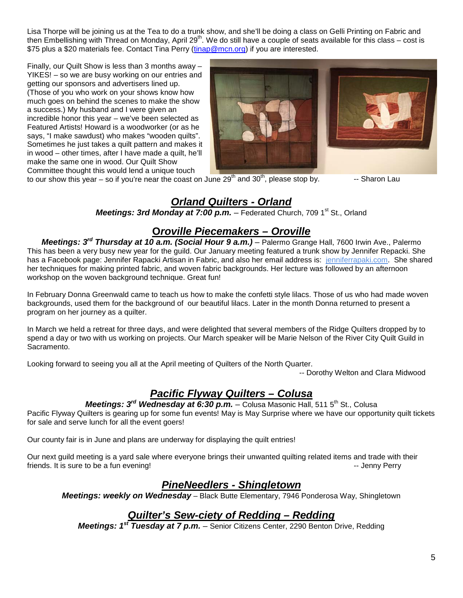Lisa Thorpe will be joining us at the Tea to do a trunk show, and she'll be doing a class on Gelli Printing on Fabric and then Embellishing with Thread on Monday, April 29<sup>th</sup>. We do still have a couple of seats available for this class – cost is \$75 plus a \$20 materials fee. Contact Tina Perry [\(tinap@mcn.org\)](mailto:tinap@mcn.org) if you are interested.

Finally, our Quilt Show is less than 3 months away – YIKES! – so we are busy working on our entries and getting our sponsors and advertisers lined up. (Those of you who work on your shows know how much goes on behind the scenes to make the show a success.) My husband and I were given an incredible honor this year – we've been selected as Featured Artists! Howard is a woodworker (or as he says, "I make sawdust) who makes "wooden quilts". Sometimes he just takes a quilt pattern and makes it in wood – other times, after I have made a quilt, he'll make the same one in wood. Our Quilt Show Committee thought this would lend a unique touch



to our show this year – so if you're near the coast on June  $29<sup>th</sup>$  and  $30<sup>th</sup>$ , please stop by.  $\overline{\phantom{a}}$  -- Sharon Lau

## *Orland Quilters - Orland*

*Meetings: 3rd Monday at 7:00 p.m.* – Federated Church, 709 1<sup>st</sup> St., Orland

#### **O***roville Piecemakers – Oroville*

*Meetings: 3rd Thursday at 10 a.m. (Social Hour 9 a.m.)* – Palermo Grange Hall, 7600 Irwin Ave., Palermo This has been a very busy new year for the guild. Our January meeting featured a trunk show by Jennifer Repacki. She has a Facebook page: Jennifer Rapacki Artisan in Fabric, and also her email address is: [jenniferrapaki.com.](http://jenniferrapaki.com/) She shared her techniques for making printed fabric, and woven fabric backgrounds. Her lecture was followed by an afternoon workshop on the woven background technique. Great fun!

In February Donna Greenwald came to teach us how to make the confetti style lilacs. Those of us who had made woven backgrounds, used them for the background of our beautiful lilacs. Later in the month Donna returned to present a program on her journey as a quilter.

In March we held a retreat for three days, and were delighted that several members of the Ridge Quilters dropped by to spend a day or two with us working on projects. Our March speaker will be Marie Nelson of the River City Quilt Guild in Sacramento.

Looking forward to seeing you all at the April meeting of Quilters of the North Quarter.

-- Dorothy Welton and Clara Midwood

#### *Pacific Flyway Quilters – Colusa*

*Meetings: 3rd Wednesday at 6:30 p.m.* – Colusa Masonic Hall, 511 5th St., Colusa

Pacific Flyway Quilters is gearing up for some fun events! May is May Surprise where we have our opportunity quilt tickets for sale and serve lunch for all the event goers!

Our county fair is in June and plans are underway for displaying the quilt entries!

Our next guild meeting is a yard sale where everyone brings their unwanted quilting related items and trade with their friends. It is sure to be a fun evening! The state of the state of the state of the state of the state of the state of the state of the state of the state of the state of the state of the state of the state of the state of

#### *PineNeedlers - Shingletown*

*Meetings: weekly on Wednesday* – Black Butte Elementary, 7946 Ponderosa Way, Shingletown

## *Quilter's Sew-ciety of Redding – Redding*

*Meetings: 1st Tuesday at 7 p.m.* – Senior Citizens Center, 2290 Benton Drive, Redding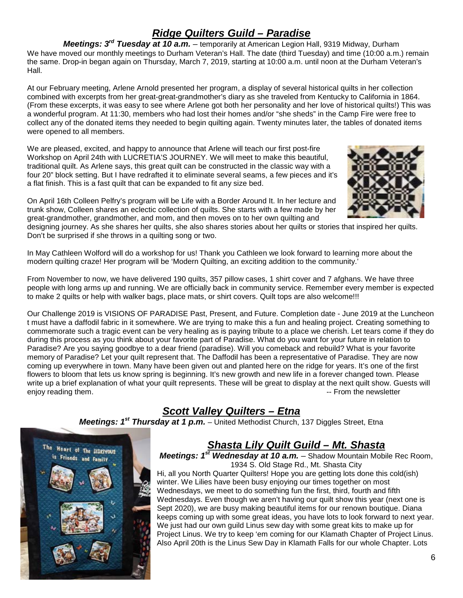## *Ridge Quilters Guild – Paradise*

*Meetings: 3rd Tuesday at 10 a.m.* – temporarily at American Legion Hall, 9319 Midway, Durham We have moved our monthly meetings to Durham Veteran's Hall. The date (third Tuesday) and time (10:00 a.m.) remain the same. Drop-in began again on Thursday, March 7, 2019, starting at 10:00 a.m. until noon at the Durham Veteran's Hall.

At our February meeting, Arlene Arnold presented her program, a display of several historical quilts in her collection combined with excerpts from her great-great-grandmother's diary as she traveled from Kentucky to California in 1864. (From these excerpts, it was easy to see where Arlene got both her personality and her love of historical quilts!) This was a wonderful program. At 11:30, members who had lost their homes and/or "she sheds" in the Camp Fire were free to collect any of the donated items they needed to begin quilting again. Twenty minutes later, the tables of donated items were opened to all members.

We are pleased, excited, and happy to announce that Arlene will teach our first post-fire Workshop on April 24th with LUCRETIA'S JOURNEY. We will meet to make this beautiful, traditional quilt. As Arlene says, this great quilt can be constructed in the classic way with a four 20" block setting. But I have redrafted it to eliminate several seams, a few pieces and it's a flat finish. This is a fast quilt that can be expanded to fit any size bed.



On April 16th Colleen Pelfry's program will be Life with a Border Around It. In her lecture and trunk show, Colleen shares an eclectic collection of quilts. She starts with a few made by her great-grandmother, grandmother, and mom, and then moves on to her own quilting and

designing journey. As she shares her quilts, she also shares stories about her quilts or stories that inspired her quilts. Don't be surprised if she throws in a quilting song or two.

In May Cathleen Wolford will do a workshop for us! Thank you Cathleen we look forward to learning more about the modern quilting craze! Her program will be 'Modern Quilting, an exciting addition to the community.'

From November to now, we have delivered 190 quilts, 357 pillow cases, 1 shirt cover and 7 afghans. We have three people with long arms up and running. We are officially back in community service. Remember every member is expected to make 2 quilts or help with walker bags, place mats, or shirt covers. Quilt tops are also welcome!!!

Our Challenge 2019 is VISIONS OF PARADISE Past, Present, and Future. Completion date - June 2019 at the Luncheon t must have a daffodil fabric in it somewhere. We are trying to make this a fun and healing project. Creating something to commemorate such a tragic event can be very healing as is paying tribute to a place we cherish. Let tears come if they do during this process as you think about your favorite part of Paradise. What do you want for your future in relation to Paradise? Are you saying goodbye to a dear friend (paradise). Will you comeback and rebuild? What is your favorite memory of Paradise? Let your quilt represent that. The Daffodil has been a representative of Paradise. They are now coming up everywhere in town. Many have been given out and planted here on the ridge for years. It's one of the first flowers to bloom that lets us know spring is beginning. It's new growth and new life in a forever changed town. Please write up a brief explanation of what your quilt represents. These will be great to display at the next quilt show. Guests will enjoy reading them.  $\blacksquare$  From the newsletter

## *Scott Valley Quilters – Etna*

*Meetings: 1st Thursday at 1 p.m.* – United Methodist Church, 137 Diggles Street, Etna



## *Shasta Lily Quilt Guild – Mt. Shasta*

*Meetings: 1st Wednesday at 10 a.m.* – Shadow Mountain Mobile Rec Room, 1934 S. Old Stage Rd., Mt. Shasta City

Hi, all you North Quarter Quilters! Hope you are getting lots done this cold(ish) winter. We Lilies have been busy enjoying our times together on most Wednesdays, we meet to do something fun the first, third, fourth and fifth Wednesdays. Even though we aren't having our quilt show this year (next one is Sept 2020), we are busy making beautiful items for our renown boutique. Diana keeps coming up with some great ideas, you have lots to look forward to next year. We just had our own guild Linus sew day with some great kits to make up for Project Linus. We try to keep 'em coming for our Klamath Chapter of Project Linus. Also April 20th is the Linus Sew Day in Klamath Falls for our whole Chapter. Lots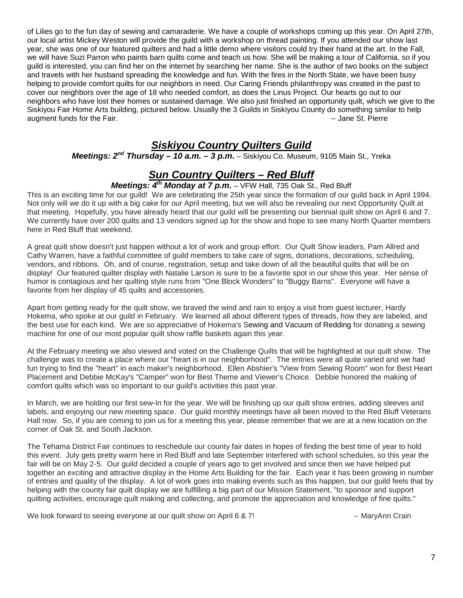of Lilies go to the fun day of sewing and camaraderie. We have a couple of workshops coming up this year. On April 27th, our local artist Mickey Weston will provide the guild with a workshop on thread painting. If you attended our show last year, she was one of our featured quilters and had a little demo where visitors could try their hand at the art. In the Fall, we will have Suzi Parron who paints barn quilts come and teach us how. She will be making a tour of California, so if you guild is interested, you can find her on the internet by searching her name. She is the author of two books on the subject and travels with her husband spreading the knowledge and fun. With the fires in the North State, we have been busy helping to provide comfort quilts for our neighbors in need. Our Caring Friends philanthropy was created in the past to cover our neighbors over the age of 18 who needed comfort, as does the Linus Project. Our hearts go out to our neighbors who have lost their homes or sustained damage. We also just finished an opportunity quilt, which we give to the Siskiyou Fair Home Arts building, pictured below. Usually the 3 Guilds in Siskiyou County do something similar to help augment funds for the Fair. The State of the State of the Fair. The State of the State of the St. Pierre of the St. Pierre

#### *Siskiyou Country Quilters Guild*

*Meetings: 2nd Thursday – 10 a.m. – 3 p.m.* – Siskiyou Co. Museum, 9105 Main St., Yreka

#### *Sun Country Quilters – Red Bluff*

#### *Meetings: 4th Monday at 7 p.m.* – VFW Hall, 735 Oak St., Red Bluff

This is an exciting time for our guild! We are celebrating the 25th year since the formation of our guild back in April 1994. Not only will we do it up with a big cake for our April meeting, but we will also be revealing our next Opportunity Quilt at that meeting. Hopefully, you have already heard that our guild will be presenting our biennial quilt show on April 6 and 7. We currently have over 200 quilts and 13 vendors signed up for the show and hope to see many North Quarter members here in Red Bluff that weekend.

A great quilt show doesn't just happen without a lot of work and group effort. Our Quilt Show leaders, Pam Allred and Cathy Warren, have a faithful committee of guild members to take care of signs, donations, decorations, scheduling, vendors, and ribbons. Oh, and of course, registration, setup and take down of all the beautiful quilts that will be on display! Our featured quilter display with Natalie Larson is sure to be a favorite spot in our show this year. Her sense of humor is contagious and her quilting style runs from "One Block Wonders" to "Buggy Barns". Everyone will have a favorite from her display of 45 quilts and accessories.

Apart from getting ready for the quilt show, we braved the wind and rain to enjoy a visit from guest lecturer, Hardy Hokema, who spoke at our guild in February. We learned all about different types of threads, how they are labeled, and the best use for each kind. We are so appreciative of Hokema's Sewing and Vacuum of Redding for donating a sewing machine for one of our most popular quilt show raffle baskets again this year.

At the February meeting we also viewed and voted on the Challenge Quilts that will be highlighted at our quilt show. The challenge was to create a place where our "heart is in our neighborhood". The entries were all quite varied and we had fun trying to find the "heart" in each maker's neighborhood. Ellen Abshier's "View from Sewing Room" won for Best Heart Placement and Debbie McKay's "Camper" won for Best Theme and Viewer's Choice. Debbie honored the making of comfort quilts which was so important to our guild's activities this past year.

In March, we are holding our first sew-In for the year. We will be finishing up our quilt show entries, adding sleeves and labels, and enjoying our new meeting space. Our guild monthly meetings have all been moved to the Red Bluff Veterans Hall now. So, if you are coming to join us for a meeting this year, please remember that we are at a new location on the corner of Oak St. and South Jackson.

The Tehama District Fair continues to reschedule our county fair dates in hopes of finding the best time of year to hold this event. July gets pretty warm here in Red Bluff and late September interfered with school schedules, so this year the fair will be on May 2-5. Our guild decided a couple of years ago to get involved and since then we have helped put together an exciting and attractive display in the Home Arts Building for the fair. Each year it has been growing in number of entries and quality of the display. A lot of work goes into making events such as this happen, but our guild feels that by helping with the county fair quilt display we are fulfilling a big part of our Mission Statement, "to sponsor and support quilting activities, encourage quilt making and collecting, and promote the appreciation and knowledge of fine quilts."

We look forward to seeing everyone at our quilt show on April 6 & 7! -- MaryAnn Crain